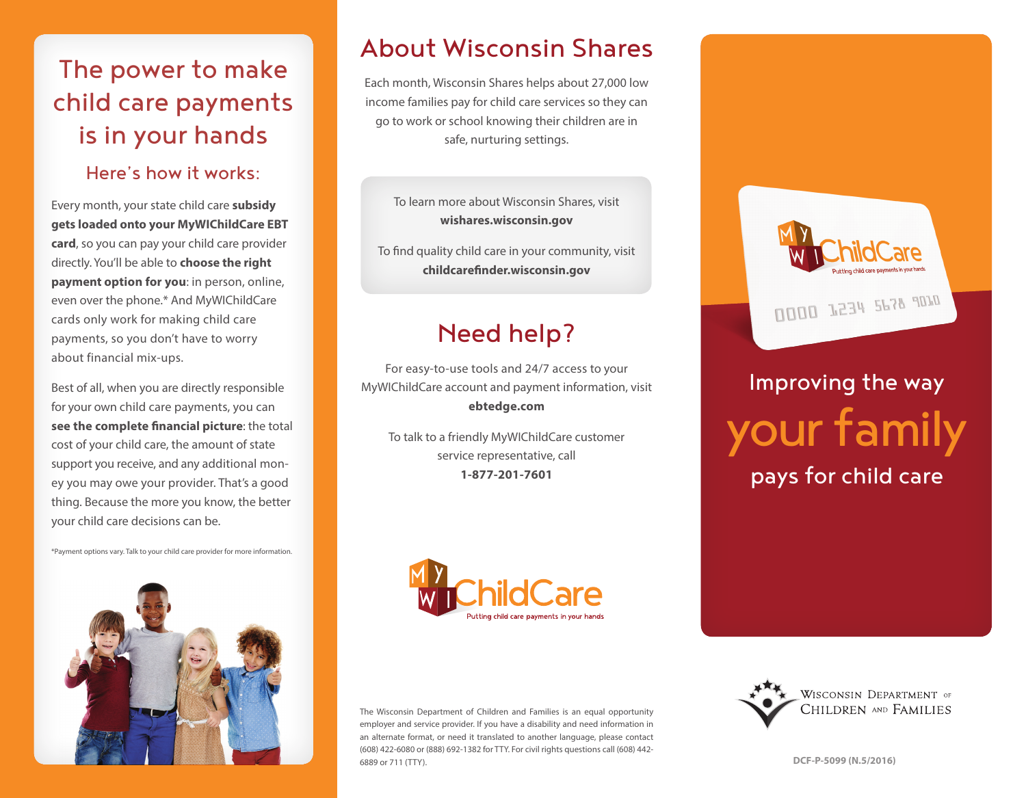## The power to make child care payments is in your hands

## Here's how it works:

Every month, your state child care **subsidy gets loaded onto your MyWIChildCare EBT card**, so you can pay your child care provider directly. You'll be able to **choose the right payment option for you**: in person, online, even over the phone.\* And MyWIChildCare cards only work for making child care payments, so you don't have to worry about financial mix-ups.

Best of all, when you are directly responsible for your own child care payments, you can **see the complete financial picture**: the total cost of your child care, the amount of state support you receive, and any additional money you may owe your provider. That's a good thing. Because the more you know, the better your child care decisions can be.

\*Payment options vary. Talk to your child care provider for more information.



## About Wisconsin Shares

Each month, Wisconsin Shares helps about 27,000 low income families pay for child care services so they can go to work or school knowing their children are in safe, nurturing settings.

To learn more about Wisconsin Shares, visit **wishares.wisconsin.gov**

To find quality child care in your community, visit **childcarefinder.wisconsin.gov**

# Need help?

For easy-to-use tools and 24/7 access to your MyWIChildCare account and payment information, visit **ebtedge.com**

To talk to a friendly MyWIChildCare customer service representative, call **1-877-201-7601**



# Improving the way your family pays for child care



The Wisconsin Department of Children and Families is an equal opportunity employer and service provider. If you have a disability and need information in an alternate format, or need it translated to another language, please contact (608) 422-6080 or (888) 692-1382 for TTY. For civil rights questions call (608) 442- 6889 or 711 (TTY). **DCF-P-5099 (N.5/2016)**